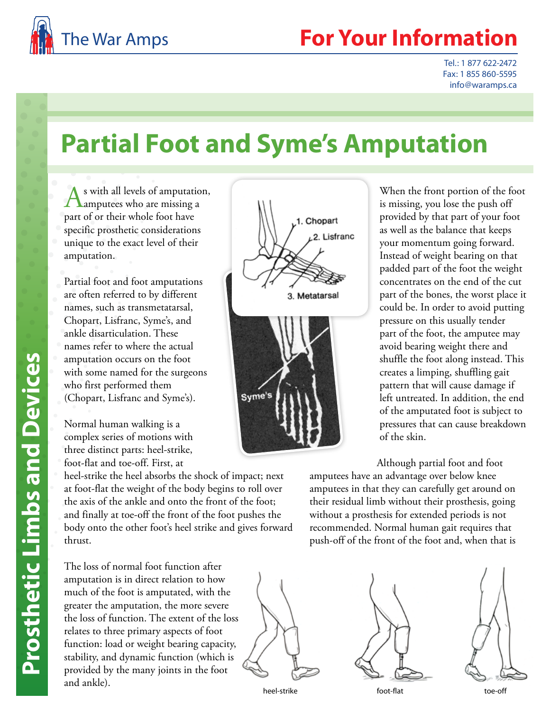

## The War Amps **For Your Information**

Tel.: 1 877 622-2472 Fax: 1 855 860-5595 info@waramps.ca

## **Partial Foot and Syme's Amputation**

s with all levels of amputation, **A** amputees who are missing a part of or their whole foot have specific prosthetic considerations unique to the exact level of their amputation.

Partial foot and foot amputations are often referred to by different names, such as transmetatarsal, Chopart, Lisfranc, Syme's, and ankle disarticulation. These names refer to where the actual amputation occurs on the foot with some named for the surgeons who first performed them (Chopart, Lisfranc and Syme's).

Normal human walking is a complex series of motions with three distinct parts: heel-strike, foot-flat and toe-off. First, at

heel-strike the heel absorbs the shock of impact; next at foot-flat the weight of the body begins to roll over the axis of the ankle and onto the front of the foot; and finally at toe-off the front of the foot pushes the body onto the other foot's heel strike and gives forward thrust.

The loss of normal foot function after amputation is in direct relation to how much of the foot is amputated, with the greater the amputation, the more severe the loss of function. The extent of the loss relates to three primary aspects of foot function: load or weight bearing capacity, stability, and dynamic function (which is provided by the many joints in the foot and ankle).



When the front portion of the foot is missing, you lose the push off provided by that part of your foot as well as the balance that keeps your momentum going forward. Instead of weight bearing on that padded part of the foot the weight concentrates on the end of the cut part of the bones, the worst place it could be. In order to avoid putting pressure on this usually tender part of the foot, the amputee may avoid bearing weight there and shuffle the foot along instead. This creates a limping, shuffling gait pattern that will cause damage if left untreated. In addition, the end of the amputated foot is subject to pressures that can cause breakdown of the skin.

Although partial foot and foot

amputees have an advantage over below knee amputees in that they can carefully get around on their residual limb without their prosthesis, going without a prosthesis for extended periods is not recommended. Normal human gait requires that push-off of the front of the foot and, when that is





heel-strike foot-flat foot-flat toe-off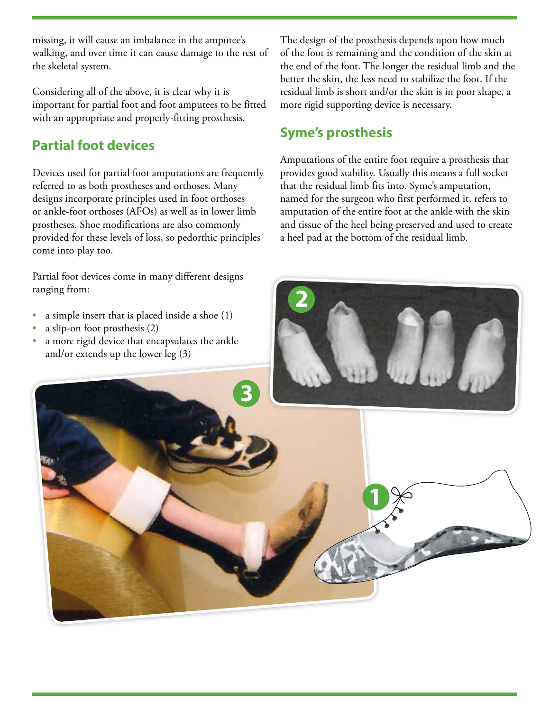missing, it will cause an imbalance in the amputee's walking, and over time it can cause damage to the rest of the skeletal system.

Considering all of the above, it is clear why it is important for partial foot and foot amputees to be fitted with an appropriate and properly-fitting prosthesis.

## **Partial foot devices**

Devices used for partial foot amputations are frequently referred to as both prostheses and orthoses. Many designs incorporate principles used in foot orthoses or ankle-foot orthoses (AFOs) as well as in lower limb prostheses. Shoe modifications are also commonly provided for these levels of loss, so pedorthic principles come into play too.

Partial foot devices come in many different designs ranging from:

- a simple insert that is placed inside a shoe (1)
- a slip-on foot prosthesis (2)
- a more rigid device that encapsulates the ankle and/or extends up the lower leg (3)

The design of the prosthesis depends upon how much of the foot is remaining and the condition of the skin at the end of the foot. The longer the residual limb and the better the skin, the less need to stabilize the foot. If the residual limb is short and/or the skin is in poor shape, a more rigid supporting device is necessary.

## **Syme's prosthesis**

Amputations of the entire foot require a prosthesis that provides good stability. Usually this means a full socket that the residual limb fits into. Syme's amputation, named for the surgeon who first performed it, refers to amputation of the entire foot at the ankle with the skin and tissue of the heel being preserved and used to create a heel pad at the bottom of the residual limb.



**2**